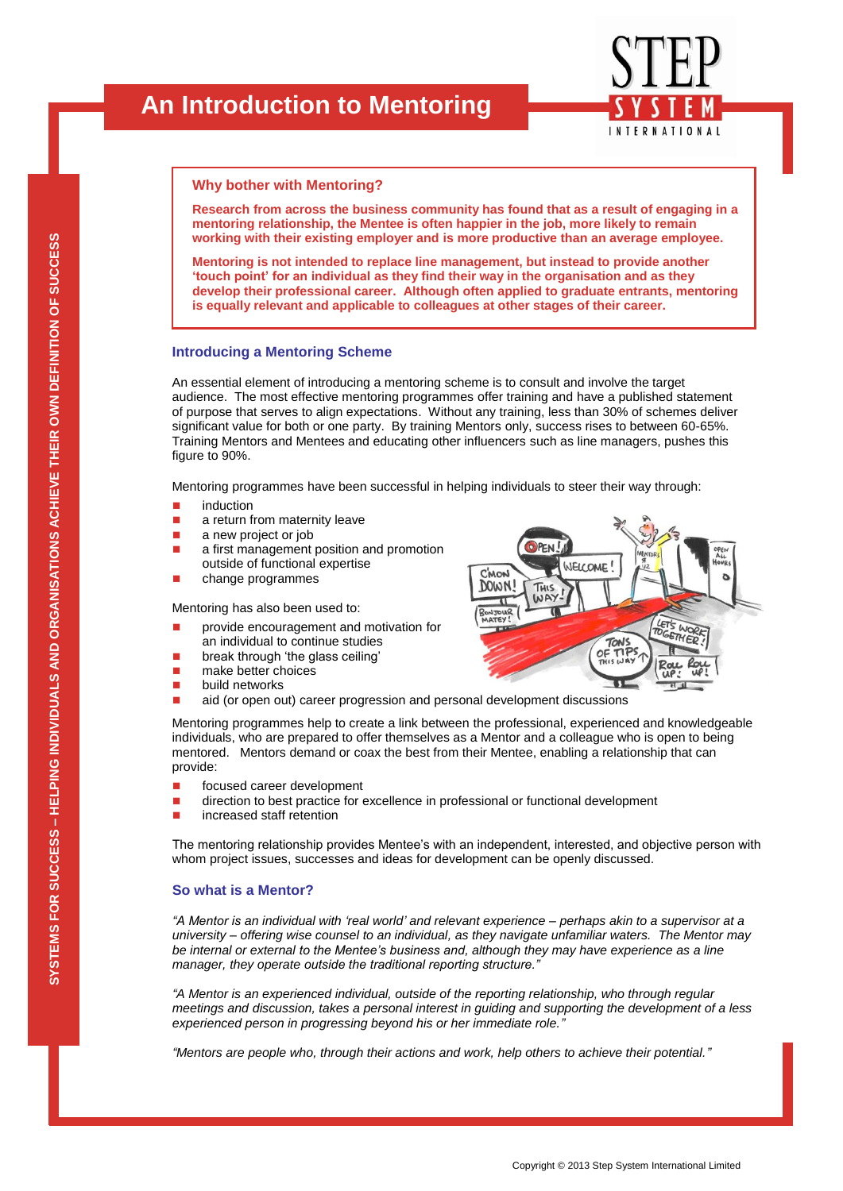## **Why bother with Mentoring?**

**Research from across the business community has found that as a result of engaging in a mentoring relationship, the Mentee is often happier in the job, more likely to remain working with their existing employer and is more productive than an average employee.** 

**Mentoring is not intended to replace line management, but instead to provide another 'touch point' for an individual as they find their way in the organisation and as they develop their professional career. Although often applied to graduate entrants, mentoring is equally relevant and applicable to colleagues at other stages of their career.**

## **Introducing a Mentoring Scheme**

An essential element of introducing a mentoring scheme is to consult and involve the target audience. The most effective mentoring programmes offer training and have a published statement of purpose that serves to align expectations. Without any training, less than 30% of schemes deliver significant value for both or one party. By training Mentors only, success rises to between 60-65%. Training Mentors and Mentees and educating other influencers such as line managers, pushes this figure to 90%.

Mentoring programmes have been successful in helping individuals to steer their way through:

- **induction**
- a return from maternity leave
- **a** new project or job
- **a** a first management position and promotion outside of functional expertise
- **n** change programmes

Mentoring has also been used to:

- provide encouragement and motivation for an individual to continue studies
- **break through 'the glass ceiling'**
- make better choices
- **build networks**
- aid (or open out) career progression and personal development discussions

Mentoring programmes help to create a link between the professional, experienced and knowledgeable individuals, who are prepared to offer themselves as a Mentor and a colleague who is open to being mentored. Mentors demand or coax the best from their Mentee, enabling a relationship that can provide:

- focused career development
- **direction to best practice for excellence in professional or functional development**
- **n** increased staff retention

The mentoring relationship provides Mentee's with an independent, interested, and objective person with whom project issues, successes and ideas for development can be openly discussed.

### **So what is a Mentor?**

*"A Mentor is an individual with "real world" and relevant experience – perhaps akin to a supervisor at a university – offering wise counsel to an individual, as they navigate unfamiliar waters. The Mentor may be internal or external to the Mentee"s business and, although they may have experience as a line manager, they operate outside the traditional reporting structure."*

*"A Mentor is an experienced individual, outside of the reporting relationship, who through regular meetings and discussion, takes a personal interest in guiding and supporting the development of a less experienced person in progressing beyond his or her immediate role."*

*"Mentors are people who, through their actions and work, help others to achieve their potential."*



**INTERNATIONAL**